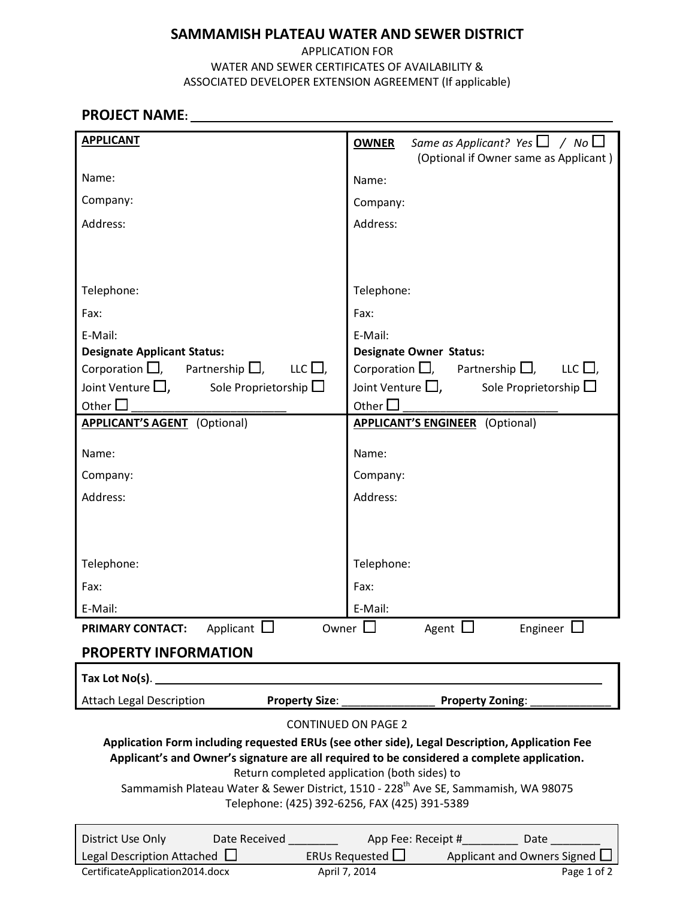### APPLICATION FOR WATER AND SEWER CERTIFICATES OF AVAILABILITY & ASSOCIATED DEVELOPER EXTENSION AGREEMENT (If applicable)

# PROJECT NAME:

| <b>APPLICANT</b>                                                                               | Same as Applicant? Yes $\Box$ / No $\Box$<br><b>OWNER</b>                                      |  |  |  |  |  |  |
|------------------------------------------------------------------------------------------------|------------------------------------------------------------------------------------------------|--|--|--|--|--|--|
|                                                                                                | (Optional if Owner same as Applicant)                                                          |  |  |  |  |  |  |
| Name:                                                                                          | Name:                                                                                          |  |  |  |  |  |  |
| Company:                                                                                       | Company:                                                                                       |  |  |  |  |  |  |
| Address:                                                                                       | Address:                                                                                       |  |  |  |  |  |  |
|                                                                                                |                                                                                                |  |  |  |  |  |  |
|                                                                                                |                                                                                                |  |  |  |  |  |  |
| Telephone:                                                                                     | Telephone:                                                                                     |  |  |  |  |  |  |
| Fax:                                                                                           | Fax:                                                                                           |  |  |  |  |  |  |
| E-Mail:                                                                                        | E-Mail:                                                                                        |  |  |  |  |  |  |
| <b>Designate Applicant Status:</b>                                                             | <b>Designate Owner Status:</b>                                                                 |  |  |  |  |  |  |
| Corporation $\Box$ , Partnership $\Box$ , LLC $\Box$ ,                                         | Corporation $\Box$ , Partnership $\Box$ , LLC $\Box$ ,                                         |  |  |  |  |  |  |
| Joint Venture $\Box$ , Sole Proprietorship $\Box$                                              | Joint Venture $\Box$ ,<br>Sole Proprietorship $\square$                                        |  |  |  |  |  |  |
| Other $\square$                                                                                | Other $\square$                                                                                |  |  |  |  |  |  |
| <b>APPLICANT'S AGENT</b> (Optional)                                                            | <b>APPLICANT'S ENGINEER</b> (Optional)                                                         |  |  |  |  |  |  |
| Name:                                                                                          | Name:                                                                                          |  |  |  |  |  |  |
| Company:                                                                                       | Company:                                                                                       |  |  |  |  |  |  |
| Address:                                                                                       | Address:                                                                                       |  |  |  |  |  |  |
|                                                                                                |                                                                                                |  |  |  |  |  |  |
|                                                                                                |                                                                                                |  |  |  |  |  |  |
| Telephone:                                                                                     | Telephone:                                                                                     |  |  |  |  |  |  |
| Fax:                                                                                           | Fax:                                                                                           |  |  |  |  |  |  |
| E-Mail:                                                                                        | E-Mail:                                                                                        |  |  |  |  |  |  |
| Owner $\Box$<br>Applicant $\Box$<br>Agent $\Box$<br>Engineer $\Box$<br><b>PRIMARY CONTACT:</b> |                                                                                                |  |  |  |  |  |  |
| <b>PROPERTY INFORMATION</b>                                                                    |                                                                                                |  |  |  |  |  |  |
| Tax Lot No(s).                                                                                 |                                                                                                |  |  |  |  |  |  |
| <b>Attach Legal Description</b><br><b>Property Size:</b>                                       | Property Zoning:                                                                               |  |  |  |  |  |  |
| <b>CONTINUED ON PAGE 2</b>                                                                     |                                                                                                |  |  |  |  |  |  |
|                                                                                                | Application Form including requested ERUs (see other side), Legal Description, Application Fee |  |  |  |  |  |  |
| Return completed application (both sides) to                                                   | Applicant's and Owner's signature are all required to be considered a complete application.    |  |  |  |  |  |  |
|                                                                                                | Sammamish Plateau Water & Sewer District, 1510 - 228 <sup>th</sup> Ave SE, Sammamish, WA 98075 |  |  |  |  |  |  |
| Telephone: (425) 392-6256, FAX (425) 391-5389                                                  |                                                                                                |  |  |  |  |  |  |
| District Use Only<br>Date Received <b>Exercise Services</b>                                    | App Fee: Receipt # Date                                                                        |  |  |  |  |  |  |
| Legal Description Attached $\Box$                                                              | ERUs Requested $\square$<br>Applicant and Owners Signed                                        |  |  |  |  |  |  |
| CertificateApplication2014.docx                                                                | April 7, 2014<br>Page 1 of 2                                                                   |  |  |  |  |  |  |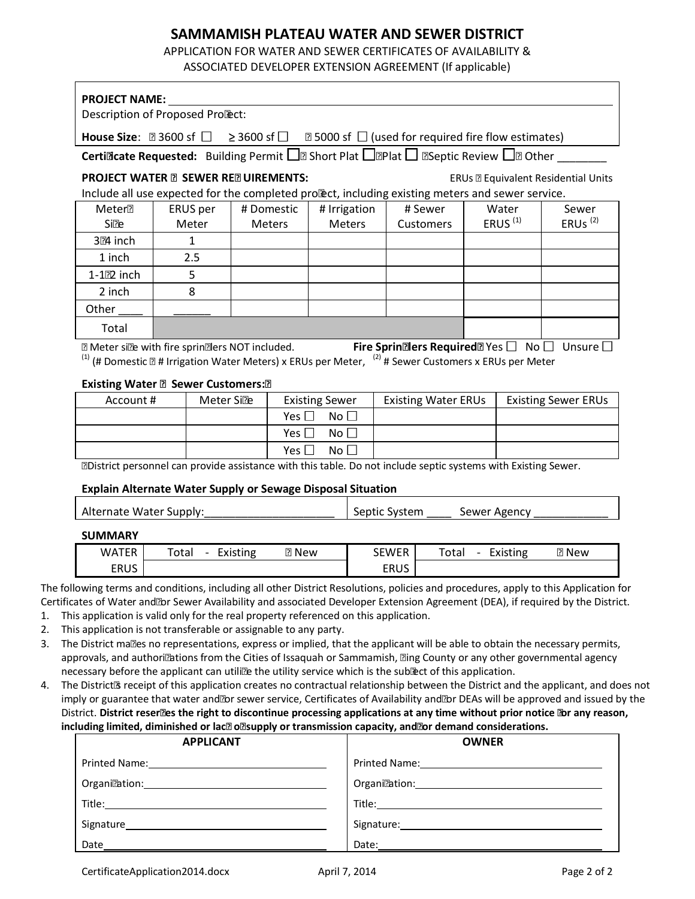APPLICATION FOR WATER AND SEWER CERTIFICATES OF AVAILABILITY & ASSOCIATED DEVELOPER EXTENSION AGREEMENT (If applicable)

| <b>PROJECT NAME:</b>                                                                                                                                                                                                                                                                                                                                                                                                                    |                             |                            |                                                                                                                              |                                                                                                                                                                                                                                |                            |                     |                                                              |  |
|-----------------------------------------------------------------------------------------------------------------------------------------------------------------------------------------------------------------------------------------------------------------------------------------------------------------------------------------------------------------------------------------------------------------------------------------|-----------------------------|----------------------------|------------------------------------------------------------------------------------------------------------------------------|--------------------------------------------------------------------------------------------------------------------------------------------------------------------------------------------------------------------------------|----------------------------|---------------------|--------------------------------------------------------------|--|
| Description of Proposed Project:                                                                                                                                                                                                                                                                                                                                                                                                        |                             |                            |                                                                                                                              |                                                                                                                                                                                                                                |                            |                     |                                                              |  |
| House Size: <3600 sf $\Box$                                                                                                                                                                                                                                                                                                                                                                                                             |                             | $\geq$ 3600 sf $\Box$      | $>$ 5000 sf $\Box$ (used for required fire flow estimates)                                                                   |                                                                                                                                                                                                                                |                            |                     |                                                              |  |
|                                                                                                                                                                                                                                                                                                                                                                                                                                         |                             |                            | <b>Certificate Requested:</b> Building Permit $\Box$ ; Short Plat $\Box$ ; Plat $\Box$ ; Septic Review $\Box$ ; Other        |                                                                                                                                                                                                                                |                            |                     |                                                              |  |
| <b>PROJECT WATER &amp; SEWER REQUIREMENTS:</b>                                                                                                                                                                                                                                                                                                                                                                                          |                             |                            | Include all use expected for the completed project, including existing meters and sewer service.                             |                                                                                                                                                                                                                                |                            |                     | ERUs = Equivalent Residential Units                          |  |
| Meter <sup>^</sup>                                                                                                                                                                                                                                                                                                                                                                                                                      | ERUS per                    | # Domestic                 | # Irrigation                                                                                                                 |                                                                                                                                                                                                                                | # Sewer                    | Water               | Sewer                                                        |  |
| Size                                                                                                                                                                                                                                                                                                                                                                                                                                    | Meter                       | <b>Meters</b>              | <b>Meters</b>                                                                                                                |                                                                                                                                                                                                                                | <b>Customers</b>           | ERUS <sup>(1)</sup> | ERUs $(2)$                                                   |  |
| $3/4$ inch                                                                                                                                                                                                                                                                                                                                                                                                                              | $\mathbf{1}$                |                            |                                                                                                                              |                                                                                                                                                                                                                                |                            |                     |                                                              |  |
| 1 inch                                                                                                                                                                                                                                                                                                                                                                                                                                  | 2.5                         |                            |                                                                                                                              |                                                                                                                                                                                                                                |                            |                     |                                                              |  |
| $1-1/2$ inch                                                                                                                                                                                                                                                                                                                                                                                                                            | 5                           |                            |                                                                                                                              |                                                                                                                                                                                                                                |                            |                     |                                                              |  |
| 2 inch                                                                                                                                                                                                                                                                                                                                                                                                                                  | 8                           |                            |                                                                                                                              |                                                                                                                                                                                                                                |                            |                     |                                                              |  |
| Other                                                                                                                                                                                                                                                                                                                                                                                                                                   |                             |                            |                                                                                                                              |                                                                                                                                                                                                                                |                            |                     |                                                              |  |
| Total                                                                                                                                                                                                                                                                                                                                                                                                                                   |                             |                            |                                                                                                                              |                                                                                                                                                                                                                                |                            |                     |                                                              |  |
| ^ Meter size with fire sprinklers NOT included.                                                                                                                                                                                                                                                                                                                                                                                         |                             |                            |                                                                                                                              |                                                                                                                                                                                                                                |                            |                     | Fire Sprinklers Required? Yes $\Box$ No $\Box$ Unsure $\Box$ |  |
|                                                                                                                                                                                                                                                                                                                                                                                                                                         |                             |                            | <sup>(1)</sup> (# Domestic + # Irrigation Water Meters) x ERUs per Meter, $\frac{(2)}{4}$ # Sewer Customers x ERUs per Meter |                                                                                                                                                                                                                                |                            |                     |                                                              |  |
|                                                                                                                                                                                                                                                                                                                                                                                                                                         |                             |                            |                                                                                                                              |                                                                                                                                                                                                                                |                            |                     |                                                              |  |
| <b>Existing Water &amp; Sewer Customers:*</b><br>Account #<br>Meter Size                                                                                                                                                                                                                                                                                                                                                                |                             |                            | <b>Existing Sewer</b>                                                                                                        |                                                                                                                                                                                                                                | <b>Existing Water ERUs</b> |                     | <b>Existing Sewer ERUs</b>                                   |  |
|                                                                                                                                                                                                                                                                                                                                                                                                                                         |                             | No $\square$<br>Yes $\Box$ |                                                                                                                              |                                                                                                                                                                                                                                |                            |                     |                                                              |  |
|                                                                                                                                                                                                                                                                                                                                                                                                                                         | Yes $\Box$<br>Yes $\square$ |                            | No $\square$                                                                                                                 |                                                                                                                                                                                                                                |                            |                     |                                                              |  |
|                                                                                                                                                                                                                                                                                                                                                                                                                                         |                             |                            | No <sub>1</sub>                                                                                                              |                                                                                                                                                                                                                                |                            |                     |                                                              |  |
|                                                                                                                                                                                                                                                                                                                                                                                                                                         |                             |                            | * District personnel can provide assistance with this table. Do not include septic systems with Existing Sewer.              |                                                                                                                                                                                                                                |                            |                     |                                                              |  |
|                                                                                                                                                                                                                                                                                                                                                                                                                                         |                             |                            | Explain Alternate Water Supply or Sewage Disposal Situation                                                                  |                                                                                                                                                                                                                                |                            |                     |                                                              |  |
|                                                                                                                                                                                                                                                                                                                                                                                                                                         |                             |                            |                                                                                                                              |                                                                                                                                                                                                                                |                            |                     |                                                              |  |
| Alternate Water Supply:                                                                                                                                                                                                                                                                                                                                                                                                                 |                             |                            |                                                                                                                              | Septic System                                                                                                                                                                                                                  |                            | Sewer Agency_       |                                                              |  |
| <b>SUMMARY</b>                                                                                                                                                                                                                                                                                                                                                                                                                          |                             |                            |                                                                                                                              |                                                                                                                                                                                                                                |                            |                     |                                                              |  |
| <b>WATER</b>                                                                                                                                                                                                                                                                                                                                                                                                                            | Total                       | - Existing                 | $=$ New                                                                                                                      | <b>SEWER</b>                                                                                                                                                                                                                   | Total                      | - Existing          | $=$ New                                                      |  |
| <b>ERUS</b>                                                                                                                                                                                                                                                                                                                                                                                                                             |                             |                            |                                                                                                                              | <b>ERUS</b>                                                                                                                                                                                                                    |                            |                     |                                                              |  |
| The following terms and conditions, including all other District Resolutions, policies and procedures, apply to this Application for<br>Certificates of Water and/or Sewer Availability and associated Developer Extension Agreement (DEA), if required by the District.<br>1. This application is valid only for the real property referenced on this application.<br>This application is not transferable or assignable to any party. |                             |                            |                                                                                                                              |                                                                                                                                                                                                                                |                            |                     |                                                              |  |
| The District makes no representations, express or implied, that the applicant will be able to obtain the necessary permits,<br>approvals, and authorizations from the Cities of Issaquah or Sammamish, King County or any other governmental agency                                                                                                                                                                                     |                             |                            |                                                                                                                              |                                                                                                                                                                                                                                |                            |                     |                                                              |  |
| necessary before the applicant can utilize the utility service which is the subject of this application.                                                                                                                                                                                                                                                                                                                                |                             |                            |                                                                                                                              |                                                                                                                                                                                                                                |                            |                     |                                                              |  |
| The District <sup>®</sup> receipt of this application creates no contractual relationship between the District and the applicant, and does not                                                                                                                                                                                                                                                                                          |                             |                            |                                                                                                                              |                                                                                                                                                                                                                                |                            |                     |                                                              |  |
| imply or guarantee that water and/or sewer service, Certificates of Availability and/or DEAs will be approved and issued by the                                                                                                                                                                                                                                                                                                         |                             |                            |                                                                                                                              |                                                                                                                                                                                                                                |                            |                     |                                                              |  |
| District. District reserves the right to discontinue processing applications at any time without prior notice for any reason,                                                                                                                                                                                                                                                                                                           |                             |                            |                                                                                                                              |                                                                                                                                                                                                                                |                            |                     |                                                              |  |
| including limited, diminished or lack of supply or transmission capacity, and/or demand considerations.                                                                                                                                                                                                                                                                                                                                 | <b>APPLICANT</b>            |                            |                                                                                                                              |                                                                                                                                                                                                                                |                            | <b>OWNER</b>        |                                                              |  |
| Printed Name: Manual Manual Manual Manual Manual Manual Manual Manual Manual Manual Manual Manual Manual Manua                                                                                                                                                                                                                                                                                                                          |                             |                            |                                                                                                                              | Printed Name: 1990 and 200 million and 200 million and 200 million and 200 million and 200 million and 200 million and 200 million and 200 million and 200 million and 200 million and 200 million and 200 million and 200 mil |                            |                     |                                                              |  |
|                                                                                                                                                                                                                                                                                                                                                                                                                                         |                             |                            |                                                                                                                              | Organization: New York Structure and Structure and Structure and Structure and Structure and Structure and Structure and Structure and Structure and Structure and Structure and Structure and Structure and Structure and Str |                            |                     |                                                              |  |
|                                                                                                                                                                                                                                                                                                                                                                                                                                         |                             |                            |                                                                                                                              |                                                                                                                                                                                                                                |                            |                     |                                                              |  |
|                                                                                                                                                                                                                                                                                                                                                                                                                                         |                             |                            |                                                                                                                              |                                                                                                                                                                                                                                |                            |                     |                                                              |  |

Date Date: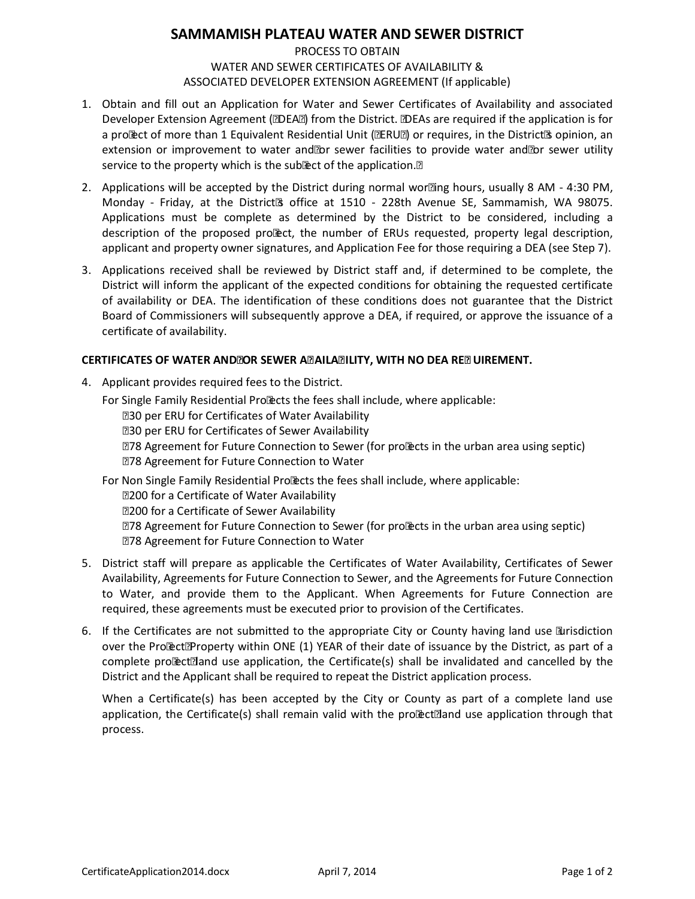#### PROCESS TO OBTAIN WATER AND SEWER CERTIFICATES OF AVAILABILITY & ASSOCIATED DEVELOPER EXTENSION AGREEMENT (If applicable)

- 1. Obtain and fill out an Application for Water and Sewer Certificates of Availability and associated Developer Extension Agreement ("DEA") from the District. [DEAs are required if the application is for a project of more than 1 Equivalent Residential Unit ("ERU") or requires, in the District's opinion, an extension or improvement to water and/or sewer facilities to provide water and/or sewer utility service to the property which is the subject of the application.]
- 2. Applications will be accepted by the District during normal working hours, usually 8 AM 4:30 PM, Monday - Friday, at the District<sup>®</sup> office at 1510 - 228th Avenue SE, Sammamish, WA 98075. Applications must be complete as determined by the District to be considered, including a description of the proposed project, the number of ERUs requested, property legal description, applicant and property owner signatures, and Application Fee for those requiring a DEA (see Step 7).
- 3. Applications received shall be reviewed by District staff and, if determined to be complete, the District will inform the applicant of the expected conditions for obtaining the requested certificate of availability or DEA. The identification of these conditions does not guarantee that the District Board of Commissioners will subsequently approve a DEA, if required, or approve the issuance of a certificate of availability.

#### CERTIFICATES OF WATER AND/OR SEWER AVAILABILITY, WITH NO DEA REQUIREMENT.

4. Applicant provides required fees to the District.

For Single Family Residential Projects the fees shall include, where applicable:

\$30 per ERU for Certificates of Water Availability

\$30 per ERU for Certificates of Sewer Availability

\$78 Agreement for Future Connection to Sewer (for projects in the urban area using septic) \$78 Agreement for Future Connection to Water

For Non Single Family Residential Projects the fees shall include, where applicable:

\$200 for a Certificate of Water Availability

\$200 for a Certificate of Sewer Availability

\$78 Agreement for Future Connection to Sewer (for projects in the urban area using septic) \$78 Agreement for Future Connection to Water

- 5. District staff will prepare as applicable the Certificates of Water Availability, Certificates of Sewer Availability, Agreements for Future Connection to Sewer, and the Agreements for Future Connection to Water, and provide them to the Applicant. When Agreements for Future Connection are required, these agreements must be executed prior to provision of the Certificates.
- 6. If the Certificates are not submitted to the appropriate City or County having land use jurisdiction over the Project/Property within ONE (1) YEAR of their date of issuance by the District, as part of a complete project/land use application, the Certificate(s) shall be invalidated and cancelled by the District and the Applicant shall be required to repeat the District application process.

When a Certificate(s) has been accepted by the City or County as part of a complete land use application, the Certificate(s) shall remain valid with the project/land use application through that process.